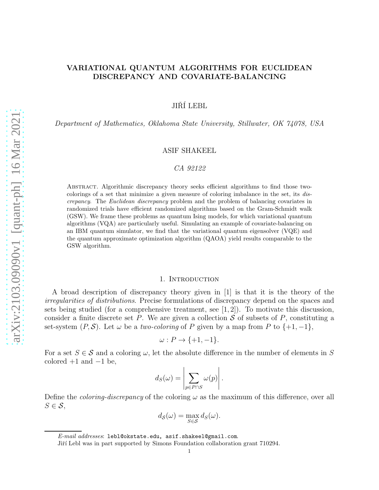# VARIATIONAL QUANTUM ALGORITHMS FOR EUCLIDEAN DISCREPANCY AND COVARIATE-BALANCING

JIŘÍ LEBL

*Department of Mathematics, Oklahoma State University, Stillwater, OK 74078, USA*

# ASIF SHAKEEL

# *CA 92122*

Abstract. Algorithmic discrepancy theory seeks efficient algorithms to find those twocolorings of a set that minimize a given measure of coloring imbalance in the set, its discrepancy. The Euclidean discrepancy problem and the problem of balancing covariates in randomized trials have efficient randomized algorithms based on the Gram-Schmidt walk (GSW). We frame these problems as quantum Ising models, for which variational quantum algorithms (VQA) are particularly useful. Simulating an example of covariate-balancing on an IBM quantum simulator, we find that the variational quantum eigensolver (VQE) and the quantum approximate optimization algorithm (QAOA) yield results comparable to the GSW algorithm.

### 1. INTRODUCTION

A broad description of discrepancy theory given in [1] is that it is the theory of the *irregularities of distributions*. Precise formulations of discrepancy depend on the spaces and sets being studied (for a comprehensive treatment, see [1, 2]). To motivate this discussion, consider a finite discrete set P. We are given a collection  $S$  of subsets of P, constituting a set-system  $(P, S)$ . Let  $\omega$  be a *two-coloring* of P given by a map from P to  $\{+1, -1\}$ ,

$$
\omega: P \to \{+1, -1\}.
$$

For a set  $S \in \mathcal{S}$  and a coloring  $\omega$ , let the absolute difference in the number of elements in S colored  $+1$  and  $-1$  be,

$$
d_S(\omega) = \left| \sum_{p \in P \cap S} \omega(p) \right|.
$$

Define the *coloring-discrepancy* of the coloring  $\omega$  as the maximum of this difference, over all  $S \in \mathcal{S}$ ,

$$
d_{\mathcal{S}}(\omega) = \max_{S \in \mathcal{S}} d_{S}(\omega).
$$

E-mail addresses: lebl@okstate.edu, asif.shakeel@gmail.com.

Jiří Lebl was in part supported by Simons Foundation collaboration grant 710294.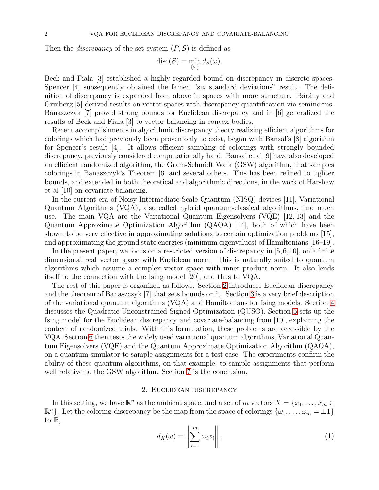Then the *discrepancy* of the set system  $(P, S)$  is defined as

$$
\mathrm{disc}(\mathcal{S})=\min_{\{\omega\}}d_{\mathcal{S}}(\omega).
$$

Beck and Fiala [3] established a highly regarded bound on discrepancy in discrete spaces. Spencer [4] subsequently obtained the famed "six standard deviations" result. The definition of discrepancy is expanded from above in spaces with more structure. Barany and Grinberg  $\vert 5 \vert$  derived results on vector spaces with discrepancy quantification via seminorms. Banaszczyk [7] proved strong bounds for Euclidean discrepancy and in [6] generalized the results of Beck and Fiala [3] to vector balancing in convex bodies.

Recent accomplishments in algorithmic discrepancy theory realizing efficient algorithms for colorings which had previously been proven only to exist, began with Bansal's [8] algorithm for Spencer's result [4]. It allows efficient sampling of colorings with strongly bounded discrepancy, previously considered computationally hard. Bansal et al [9] have also developed an efficient randomized algorithm, the Gram-Schmidt Walk (GSW) algorithm, that samples colorings in Banaszczyk's Theorem [6] and several others. This has been refined to tighter bounds, and extended in both theoretical and algorithmic directions, in the work of Harshaw et al [10] on covariate balancing.

In the current era of Noisy Intermediate-Scale Quantum (NISQ) devices [11], Variational Quantum Algorithms (VQA), also called hybrid quantum-classical algorithms, find much use. The main VQA are the Variational Quantum Eigensolvers (VQE) [12, 13] and the Quantum Approximate Optimization Algorithm (QAOA) [14], both of which have been shown to be very effective in approximating solutions to certain optimization problems [15], and approximating the ground state energies (minimum eigenvalues) of Hamiltonians [16–19].

In the present paper, we focus on a restricted version of discrepancy in  $[5,6,10]$ , on a finite dimensional real vector space with Euclidean norm. This is naturally suited to quantum algorithms which assume a complex vector space with inner product norm. It also lends itself to the connection with the Ising model [20], and thus to VQA.

The rest of this paper is organized as follows. Section [2](#page-1-0) introduces Euclidean discrepancy and the theorem of Banaszczyk [7] that sets bounds on it. Section [3](#page-3-0) is a very brief description of the variational quantum algorithms (VQA) and Hamiltonians for Ising models. Section [4](#page-4-0) discusses the Quadratic Unconstrained Signed Optimization (QUSO). Section [5](#page-5-0) sets up the Ising model for the Euclidean discrepancy and covariate-balancing from [10], explaining the context of randomized trials. With this formulation, these problems are accessible by the VQA. Section [6](#page-7-0) then tests the widely used variational quantum algorithms, Variational Quantum Eigensolvers (VQE) and the Quantum Approximate Optimization Algorithm (QAOA), on a quantum simulator to sample assignments for a test case. The experiments confirm the ability of these quantum algorithms, on that example, to sample assignments that perform well relative to the GSW algorithm. Section [7](#page-10-0) is the conclusion.

# 2. Euclidean discrepancy

<span id="page-1-0"></span>In this setting, we have  $\mathbb{R}^n$  as the ambient space, and a set of m vectors  $X = \{x_1, \ldots, x_m \in \mathbb{R}^n\}$  $\mathbb{R}^n$ . Let the coloring-discrepancy be the map from the space of colorings  $\{\omega_1, \ldots, \omega_m = \pm 1\}$ to R,

<span id="page-1-1"></span>
$$
d_X(\omega) = \left\| \sum_{i=1}^m \omega_i x_i \right\|,
$$
\n(1)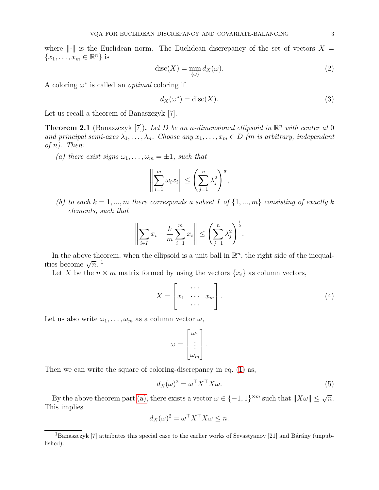where  $\|\cdot\|$  is the Euclidean norm. The Euclidean discrepancy of the set of vectors  $X =$  ${x_1, \ldots, x_m \in \mathbb{R}^n}$  is

<span id="page-2-3"></span>
$$
\operatorname{disc}(X) = \min_{\{\omega\}} d_X(\omega). \tag{2}
$$

A coloring  $\omega^*$  is called an *optimal* coloring if

<span id="page-2-4"></span>
$$
d_X(\omega^*) = \operatorname{disc}(X). \tag{3}
$$

Let us recall a theorem of Banaszczyk [7].

**Theorem 2.1** (Banaszczyk [7]). Let D be an *n*-dimensional ellipsoid in  $\mathbb{R}^n$  with center at 0 *and principal semi-axes*  $\lambda_1, \ldots, \lambda_n$ *. Choose any*  $x_1, \ldots, x_m \in D$  *(m is arbitrary, independent of* n*). Then:*

<span id="page-2-0"></span>(a) there exist signs  $\omega_1, \ldots, \omega_m = \pm 1$ , such that

$$
\left\|\sum_{i=1}^m \omega_i x_i\right\| \le \left(\sum_{j=1}^n \lambda_j^2\right)^{\frac{1}{2}},
$$

*(b) to each*  $k = 1, ..., m$  *there corresponds a subset* I of  $\{1, ..., m\}$  *consisting of exactly* k *elements, such that*

$$
\left\| \sum_{i \in I} x_i - \frac{k}{m} \sum_{i=1}^m x_i \right\| \le \left( \sum_{j=1}^n \lambda_j^2 \right)^{\frac{1}{2}}.
$$

In the above theorem, when the ellipsoid is a unit ball in  $\mathbb{R}^n$ , the right side of the inequalities become  $\sqrt{n}$ .<sup>1</sup>

Let X be the  $n \times m$  matrix formed by using the vectors  $\{x_i\}$  as column vectors,

<span id="page-2-1"></span>
$$
X = \begin{bmatrix} \cdot & \cdot & \cdot & \cdot \\ x_1 & \cdot & \cdot & \cdot \\ \cdot & \cdot & \cdot & \cdot \\ \cdot & \cdot & \cdot & \cdot \end{bmatrix} . \tag{4}
$$

Let us also write  $\omega_1, \ldots, \omega_m$  as a column vector  $\omega$ ,

$$
\omega = \begin{bmatrix} \omega_1 \\ \vdots \\ \omega_m \end{bmatrix}.
$$

Then we can write the square of coloring-discrepancy in eq. [\(1\)](#page-1-1) as,

<span id="page-2-2"></span>
$$
d_X(\omega)^2 = \omega^\top X^\top X \omega.
$$
\n(5)

By the above theorem part [\(a\),](#page-2-0) there exists a vector  $\omega \in \{-1,1\}^{\times m}$  such that  $||X\omega|| \le \sqrt{n}$ . This implies

$$
d_X(\omega)^2 = \omega^\top X^\top X \omega \le n.
$$

<sup>&</sup>lt;sup>1</sup>Banaszczyk [7] attributes this special case to the earlier works of Sevastyanov [21] and Bárány (unpublished).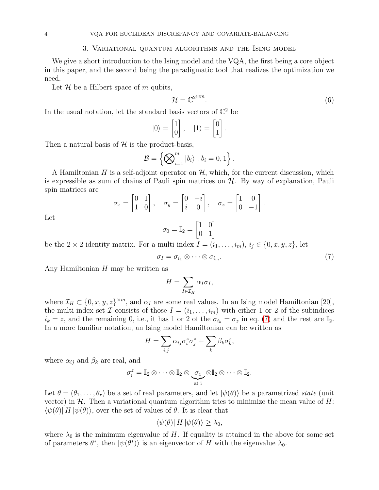#### 3. Variational quantum algorithms and the Ising model

<span id="page-3-0"></span>We give a short introduction to the Ising model and the VQA, the first being a core object in this paper, and the second being the paradigmatic tool that realizes the optimization we need.

Let  $\mathcal H$  be a Hilbert space of m qubits,

<span id="page-3-2"></span>
$$
\mathcal{H} = \mathbb{C}^{2^{\otimes m}}.\tag{6}
$$

In the usual notation, let the standard basis vectors of  $\mathbb{C}^2$  be

$$
|0\rangle = \begin{bmatrix} 1 \\ 0 \end{bmatrix}, \quad |1\rangle = \begin{bmatrix} 0 \\ 1 \end{bmatrix}.
$$

Then a natural basis of  $H$  is the product-basis,

$$
\mathcal{B} = \left\{ \bigotimes_{i=1}^{m} |b_i\rangle : b_i = 0, 1 \right\}.
$$

A Hamiltonian H is a self-adjoint operator on  $\mathcal{H}$ , which, for the current discussion, which is expressible as sum of chains of Pauli spin matrices on  $H$ . By way of explanation, Pauli spin matrices are

$$
\sigma_x = \begin{bmatrix} 0 & 1 \\ 1 & 0 \end{bmatrix}, \quad \sigma_y = \begin{bmatrix} 0 & -i \\ i & 0 \end{bmatrix}, \quad \sigma_z = \begin{bmatrix} 1 & 0 \\ 0 & -1 \end{bmatrix}.
$$

Let

$$
\sigma_0 = \mathbb{I}_2 = \begin{bmatrix} 1 & 0 \\ 0 & 1 \end{bmatrix}
$$

be the 2 × 2 identity matrix. For a multi-index  $I = (i_1, \ldots, i_m), i_j \in \{0, x, y, z\}$ , let

<span id="page-3-1"></span>
$$
\sigma_I = \sigma_{i_1} \otimes \cdots \otimes \sigma_{i_m}.\tag{7}
$$

Any Hamiltonian  $H$  may be written as

$$
H = \sum_{I \in \mathcal{I}_H} \alpha_I \sigma_I,
$$

where  $\mathcal{I}_H \subset \{0, x, y, z\}^{\times m}$ , and  $\alpha_I$  are some real values. In an Ising model Hamiltonian [20], the multi-index set  $\mathcal I$  consists of those  $I = (i_1, \ldots, i_m)$  with either 1 or 2 of the subindices  $i_k = z$ , and the remaining 0, i.e., it has 1 or 2 of the  $\sigma_{i_k} = \sigma_z$  in eq. [\(7\)](#page-3-1) and the rest are  $\mathbb{I}_2$ . In a more familiar notation, an Ising model Hamiltonian can be written as

$$
H = \sum_{i,j} \alpha_{ij} \sigma_i^z \sigma_j^z + \sum_k \beta_k \sigma_k^z,
$$

where  $\alpha_{ij}$  and  $\beta_k$  are real, and

$$
\sigma_i^z = \mathbb{I}_2 \otimes \cdots \otimes \mathbb{I}_2 \otimes \underbrace{\sigma_z}_{\text{at }i} \otimes \mathbb{I}_2 \otimes \cdots \otimes \mathbb{I}_2.
$$

Let  $\theta = (\theta_1, \ldots, \theta_r)$  be a set of real parameters, and let  $|\psi(\theta)\rangle$  be a parametrized *state* (unit vector) in  $H$ . Then a variational quantum algorithm tries to minimize the mean value of H:  $\langle \psi(\theta) | H | \psi(\theta) \rangle$ , over the set of values of  $\theta$ . It is clear that

$$
\langle \psi(\theta) | H | \psi(\theta) \rangle \ge \lambda_0,
$$

where  $\lambda_0$  is the minimum eigenvalue of H. If equality is attained in the above for some set of parameters  $\theta^*$ , then  $|\psi(\theta^*)\rangle$  is an eigenvector of H with the eigenvalue  $\lambda_0$ .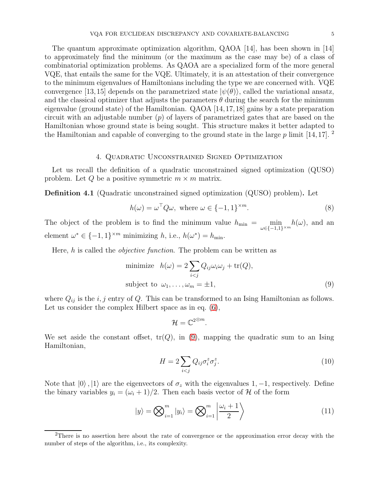The quantum approximate optimization algorithm, QAOA [14], has been shown in [14] to approximately find the minimum (or the maximum as the case may be) of a class of combinatorial optimization problems. As QAOA are a specialized form of the more general VQE, that entails the same for the VQE. Ultimately, it is an attestation of their convergence to the minimum eigenvalues of Hamiltonians including the type we are concerned with. VQE convergence [13,15] depends on the parametrized state  $|\psi(\theta)\rangle$ , called the variational ansatz, and the classical optimizer that adjusts the parameters  $\theta$  during the search for the minimum eigenvalue (ground state) of the Hamiltonian. QAOA [14,17,18] gains by a state preparation circuit with an adjustable number  $(p)$  of layers of parametrized gates that are based on the Hamiltonian whose ground state is being sought. This structure makes it better adapted to the Hamiltonian and capable of converging to the ground state in the large  $p$  limit [14,17]. <sup>2</sup>

### 4. Quadratic Unconstrained Signed Optimization

<span id="page-4-0"></span>Let us recall the definition of a quadratic unconstrained signed optimization (QUSO) problem. Let Q be a positive symmetric  $m \times m$  matrix.

<span id="page-4-5"></span>Definition 4.1 (Quadratic unconstrained signed optimization (QUSO) problem). Let

$$
h(\omega) = \omega^{\top} Q \omega, \text{ where } \omega \in \{-1, 1\}^{\times m}.
$$
 (8)

The object of the problem is to find the minimum value  $h_{\min} = \min_{\omega \in \{-1,1\}^{\times m}} h(\omega)$ , and an element  $\omega^* \in \{-1, 1\}^{\times m}$  minimizing  $h$ , i.e.,  $h(\omega^*) = h_{\min}$ .

Here, h is called the *objective function*. The problem can be written as

minimize 
$$
h(\omega) = 2 \sum_{i < j} Q_{ij} \omega_i \omega_j + \text{tr}(Q),
$$
  
\nsubject to  $\omega_1, \dots, \omega_m = \pm 1,$  (9)

where  $Q_{ij}$  is the i, j entry of Q. This can be transformed to an Ising Hamiltonian as follows. Let us consider the complex Hilbert space as in eq.  $(6)$ ,

<span id="page-4-3"></span><span id="page-4-2"></span><span id="page-4-1"></span>
$$
\mathcal{H}=\mathbb{C}^{2\otimes m}.
$$

We set aside the constant offset,  $tr(Q)$ , in [\(9\)](#page-4-1), mapping the quadratic sum to an Ising Hamiltonian,

$$
H = 2\sum_{i < j} Q_{ij}\sigma_i^z \sigma_j^z. \tag{10}
$$

Note that  $|0\rangle$ ,  $|1\rangle$  are the eigenvectors of  $\sigma_z$  with the eigenvalues 1, -1, respectively. Define the binary variables  $y_i = (\omega_i + 1)/2$ . Then each basis vector of H of the form

<span id="page-4-4"></span>
$$
|y\rangle = \bigotimes_{i=1}^{m} |y_i\rangle = \bigotimes_{i=1}^{m} \left| \frac{\omega_i + 1}{2} \right\rangle
$$
 (11)

<sup>&</sup>lt;sup>2</sup>There is no assertion here about the rate of convergence or the approximation error decay with the number of steps of the algorithm, i.e., its complexity.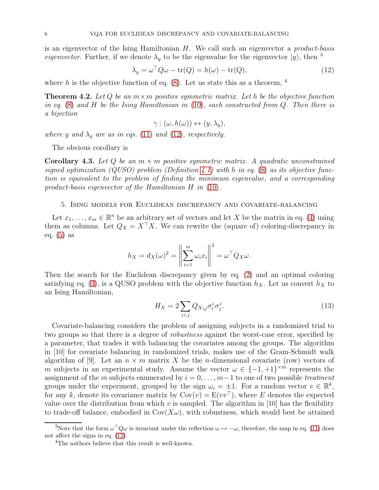is an eigenvector of the Ising Hamiltonian H. We call such an eigenvector a *product-basis eigenvector*. Further, if we denote  $\lambda_y$  to be the eigenvalue for the eigenvector  $|y\rangle$ , then <sup>3</sup>

<span id="page-5-1"></span>
$$
\lambda_y = \omega^\top Q \omega - \text{tr}(Q) = h(\omega) - \text{tr}(Q),\tag{12}
$$

where h is the objective function of eq.  $(8)$ . Let us state this as a theorem, <sup>4</sup>

Theorem 4.2. *Let* Q *be an* m×m *positive symmetric matrix. Let* h *be the objective function in eq.* [\(8\)](#page-4-2) *and* H *be the Ising Hamiltonian in* [\(10\)](#page-4-3)*, each constructed from* Q*. Then there is a bijection*

$$
\gamma : (\omega, h(\omega)) \leftrightarrow (y, \lambda_y),
$$

*where* y and  $\lambda_y$  are as in eqs. [\(11\)](#page-4-4) and [\(12\)](#page-5-1), respectively.

The obvious corollary is

<span id="page-5-2"></span>Corollary 4.3. *Let* Q *be an* m × m *positive symmetric matrix. A quadratic unconstrained signed optimization (QUSO) problem (Definition [4.1\)](#page-4-5) with* h *in eq.* [\(8\)](#page-4-2) *as its objective function is equivalent to the problem of finding the minimum eigenvalue, and a corresponding product-basis eigenvector of the Hamiltonian* H *in* [\(10\)](#page-4-3)*.*

# <span id="page-5-0"></span>5. Ising models for Euclidean discrepancy and covariate-balancing

Let  $x_1, \ldots, x_m \in \mathbb{R}^n$  be an arbitrary set of vectors and let X be the matrix in eq. [\(4\)](#page-2-1) using them as columns. Let  $Q_X = X^{\top}X$ . We can rewrite the (square of) coloring-discrepancy in eq. [\(5\)](#page-2-2) as

$$
h_X = d_X(\omega)^2 = \left\| \sum_{i=1}^m \omega_i x_i \right\|^2 = \omega^\top Q_X \omega.
$$

Then the search for the Euclidean discrepancy given by eq. [\(2\)](#page-2-3) and an optimal coloring satisfying eq. [\(3\)](#page-2-4), is a QUSO problem with the objective function  $h_X$ . Let us convert  $h_X$  to an Ising Hamiltonian,

<span id="page-5-3"></span>
$$
H_X = 2\sum_{i < j} Q_{Xij} \sigma_i^z \sigma_j^z. \tag{13}
$$

Covariate-balancing considers the problem of assigning subjects in a randomized trial to two groups so that there is a degree of *robustness* against the worst-case error, specified by a parameter, that trades it with balancing the covariates among the groups. The algorithm in [10] for covariate balancing in randomized trials, makes use of the Gram-Schmidt walk algorithm of [9]. Let an  $n \times m$  matrix X be the *n*-dimensional covariate (row) vectors of m subjects in an experimental study. Assume the vector  $\omega \in \{-1, +1\}^{\times m}$  represents the assignment of the m subjects enumerated by  $i = 0, \ldots, m-1$  to one of two possible *treatment* groups under the experiment, grouped by the sign  $\omega_i = \pm 1$ . For a random vector  $v \in \mathbb{R}^k$ , for any k, denote its covariance matrix by  $Cov(v) = E(vv^{\top})$ , where E denotes the expected value over the distribution from which v is sampled. The algorithm in [10] has the flexibility to trade-off balance, embodied in  $Cov(X\omega)$ , with robustness, which would best be attained

<sup>&</sup>lt;sup>3</sup>Note that the form  $\omega^{\top} Q \omega$  is invariant under the reflection  $\omega \mapsto -\omega$ , therefore, the map in eq. [\(11\)](#page-4-4) does not affect the signs in eq. [\(12\)](#page-5-1).

<sup>&</sup>lt;sup>4</sup>The authors believe that this result is well-known.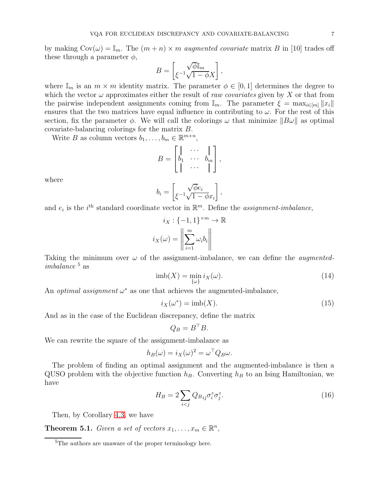by making  $Cov(\omega) = \mathbb{I}_m$ . The  $(m+n) \times m$  *augmented covariate* matrix B in [10] trades off these through a parameter  $\phi$ ,

$$
B=\begin{bmatrix} \sqrt{\phi} \mathbb{I}_m \\ \xi^{-1} \sqrt{1-\phi} X \end{bmatrix},
$$

where  $\mathbb{I}_m$  is an  $m \times m$  identity matrix. The parameter  $\phi \in [0, 1]$  determines the degree to which the vector  $\omega$  approximates either the result of *raw covariates* given by X or that from the pairwise independent assignments coming from  $\mathbb{I}_m$ . The parameter  $\xi = \max_{i \in [m]} ||x_i||$ ensures that the two matrices have equal influence in contributing to  $\omega$ . For the rest of this section, fix the parameter  $\phi$ . We will call the colorings  $\omega$  that minimize  $||B\omega||$  as optimal covariate-balancing colorings for the matrix B.

Write *B* as column vectors  $b_1, \ldots, b_m \in \mathbb{R}^{m+n}$ ,

$$
B = \begin{bmatrix} \cdot & \cdots & \cdot \\ b_1 & \cdots & b_m \\ \cdot & \cdots & \cdot \end{bmatrix},
$$

where

$$
b_i = \begin{bmatrix} \sqrt{\phi}e_i \\ \xi^{-1}\sqrt{1-\phi}x_i \end{bmatrix},
$$

and  $e_i$  is the i<sup>th</sup> standard coordinate vector in  $\mathbb{R}^m$ . Define the *assignment-imbalance*,

$$
i_X: \{-1, 1\}^{\times m} \to \mathbb{R}
$$

$$
i_X(\omega) = \left\| \sum_{i=1}^m \omega_i b_i \right\|
$$

Taking the minimum over  $\omega$  of the assignment-imbalance, we can define the *augmentedimbalance*<sup>5</sup> as

<span id="page-6-0"></span>
$$
imb(X) = \min_{\{\omega\}} i_X(\omega). \tag{14}
$$

An *optimal assignment*  $\omega^*$  as one that achieves the augmented-imbalance,

<span id="page-6-1"></span>
$$
i_X(\omega^*) = \text{imb}(X). \tag{15}
$$

And as in the case of the Euclidean discrepancy, define the matrix

<span id="page-6-2"></span>
$$
Q_B = B^{\top} B.
$$

We can rewrite the square of the assignment-imbalance as

$$
h_B(\omega) = i_X(\omega)^2 = \omega^\top Q_B \omega.
$$

The problem of finding an optimal assignment and the augmented-imbalance is then a QUSO problem with the objective function  $h_B$ . Converting  $h_B$  to an Ising Hamiltonian, we have

$$
H_B = 2 \sum_{i < j} Q_{Bij} \sigma_i^z \sigma_j^z. \tag{16}
$$

Then, by Corollary [4.3,](#page-5-2) we have

**Theorem 5.1.** *Given a set of vectors*  $x_1, \ldots, x_m \in \mathbb{R}^n$ *,* 

<sup>&</sup>lt;sup>5</sup>The authors are unaware of the proper terminology here.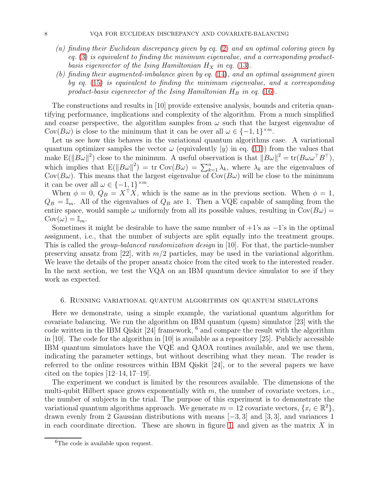- *(a) finding their Euclidean discrepancy given by eq.* [\(2\)](#page-2-3) *and an optimal coloring given by eq.* [\(3\)](#page-2-4) *is equivalent to finding the minimum eigenvalue, and a corresponding productbasis eigenvector of the Ising Hamiltonian*  $H_X$  *in eq.* [\(13\)](#page-5-3).
- *(b) finding their augmented-imbalance given by eq.* [\(14\)](#page-6-0)*, and an optimal assignment given by eq.* [\(15\)](#page-6-1) *is equivalent to finding the minimum eigenvalue, and a corresponding* product-basis eigenvector of the Ising Hamiltonian  $H_B$  in eq. [\(16\)](#page-6-2).

The constructions and results in [10] provide extensive analysis, bounds and criteria quantifying performance, implications and complexity of the algorithm. From a much simplified and coarse perspective, the algorithm samples from  $\omega$  such that the largest eigenvalue of Cov( $B\omega$ ) is close to the minimum that it can be over all  $\omega \in \{-1,1\}^{\times m}$ .

Let us see how this behaves in the variational quantum algorithms case. A variational quantum optimizer samples the vector  $\omega$  (equivalently  $|y\rangle$  in eq. [\(11\)](#page-4-4)) from the values that make  $E(||B\omega||^2)$  close to the minimum. A useful observation is that  $||B\omega||^2 = \text{tr}(B\omega\omega^{\top}B^{\top}),$ which implies that  $E(||B\omega||^2) = \text{tr Cov}(B\omega) = \sum_{k=1}^n \lambda_k$ , where  $\lambda_k$  are the eigenvalues of Cov( $B\omega$ ). This means that the largest eigenvalue of Cov( $B\omega$ ) will be close to the minimum it can be over all  $\omega \in \{-1,1\}^{\times m}$ .

When  $\phi = 0$ ,  $Q_B = X^{\dagger} X$ , which is the same as in the previous section. When  $\phi = 1$ ,  $Q_B = \mathbb{I}_m$ . All of the eigenvalues of  $Q_B$  are 1. Then a VQE capable of sampling from the entire space, would sample  $\omega$  uniformly from all its possible values, resulting in  $Cov(B\omega)$  =  $Cov(\omega) = \mathbb{I}_m$ .

Sometimes it might be desirable to have the same number of  $+1$ 's as  $-1$ 's in the optimal assignment, i.e., that the number of subjects are split equally into the treatment groups. This is called the *group-balanced randomization design* in [10]. For that, the particle-number preserving ansatz from [22], with  $m/2$  particles, may be used in the variational algorithm. We leave the details of the proper ansatz choice from the cited work to the interested reader. In the next section, we test the VQA on an IBM quantum device simulator to see if they work as expected.

#### <span id="page-7-0"></span>6. Running variational quantum algorithms on quantum simulators

Here we demonstrate, using a simple example, the variational quantum algorithm for covariate balancing. We run the algorithm on IBM quantum (qasm) simulator [23] with the code written in the IBM Qiskit [24] framework, <sup>6</sup> and compare the result with the algorithm in [10]. The code for the algorithm in [10] is available as a repository [25]. Publicly accessible IBM quantum simulators have the VQE and QAOA routines available, and we use them, indicating the parameter settings, but without describing what they mean. The reader is referred to the online resources within IBM Qiskit [24], or to the several papers we have cited on the topics  $[12-14, 17-19]$ .

The experiment we conduct is limited by the resources available. The dimensions of the multi-qubit Hilbert space grows exponentially with  $m$ , the number of covariate vectors, i.e., the number of subjects in the trial. The purpose of this experiment is to demonstrate the variational quantum algorithms approach. We generate  $m = 12$  covariate vectors,  $\{x_i \in \mathbb{R}^2\}$ , drawn evenly from 2 Gaussian distributions with means  $[-3, 3]$  and  $[3, 3]$ , and variances 1 in each coordinate direction. These are shown in figure [1,](#page-8-0) and given as the matrix  $X$  in

 ${}^{6}$ The code is available upon request.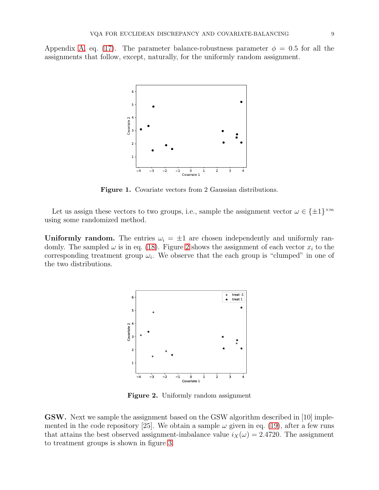<span id="page-8-0"></span>Appendix [A,](#page-12-0) eq. [\(17\)](#page-12-1). The parameter balance-robustness parameter  $\phi = 0.5$  for all the assignments that follow, except, naturally, for the uniformly random assignment.



Figure 1. Covariate vectors from 2 Gaussian distributions.

Let us assign these vectors to two groups, i.e., sample the assignment vector  $\omega \in {\pm 1}^{\times m}$ using some randomized method.

<span id="page-8-1"></span>Uniformly random. The entries  $\omega_i = \pm 1$  are chosen independently and uniformly randomly. The sampled  $\omega$  is in eq. [\(18\)](#page-12-2). Figure [2](#page-8-1) shows the assignment of each vector  $x_i$  to the corresponding treatment group  $\omega_i$ . We observe that the each group is "clumped" in one of the two distributions.



Figure 2. Uniformly random assignment

GSW. Next we sample the assignment based on the GSW algorithm described in [10] implemented in the code repository [25]. We obtain a sample  $\omega$  given in eq. [\(19\)](#page-12-3), after a few runs that attains the best observed assignment-imbalance value  $i_X(\omega) = 2.4720$ . The assignment to treatment groups is shown in figure [3.](#page-9-0)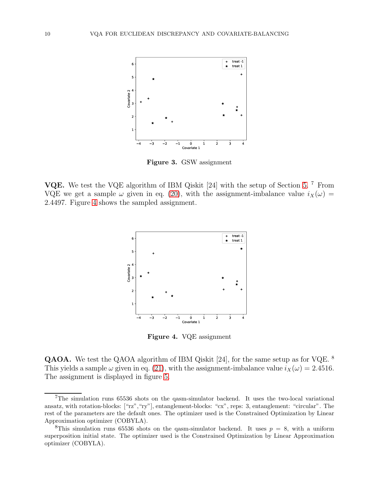<span id="page-9-0"></span>

Figure 3. GSW assignment

<span id="page-9-1"></span>VQE. We test the VQE algorithm of IBM Qiskit [24] with the setup of Section [5.](#page-5-0)<sup>7</sup> From VQE we get a sample  $\omega$  given in eq. [\(20\)](#page-12-4), with the assignment-imbalance value  $i_X(\omega)$  = 2.4497. Figure [4](#page-9-1) shows the sampled assignment.



Figure 4. VQE assignment

QAOA. We test the QAOA algorithm of IBM Qiskit [24], for the same setup as for VQE. <sup>8</sup> This yields a sample  $\omega$  given in eq. [\(21\)](#page-12-5), with the assignment-imbalance value  $i_X(\omega) = 2.4516$ . The assignment is displayed in figure [5.](#page-10-1)

<sup>7</sup>The simulation runs 65536 shots on the qasm-simulator backend. It uses the two-local variational ansatz, with rotation-blocks: ["rz","ry"], entanglement-blocks: "cx", reps: 3, entanglement: "circular". The rest of the parameters are the default ones. The optimizer used is the Constrained Optimization by Linear Approximation optimizer (COBYLA).

<sup>&</sup>lt;sup>8</sup>This simulation runs 65536 shots on the qasm-simulator backend. It uses  $p = 8$ , with a uniform superposition initial state. The optimizer used is the Constrained Optimization by Linear Approximation optimizer (COBYLA).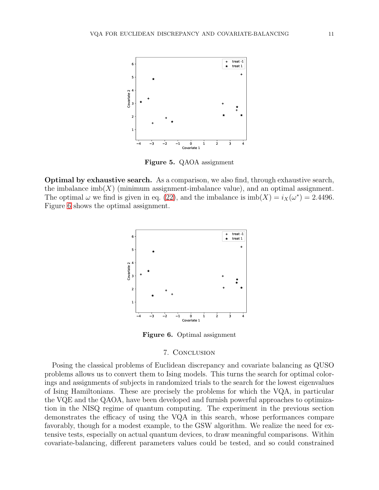<span id="page-10-1"></span>

Figure 5. QAOA assignment

<span id="page-10-2"></span>Optimal by exhaustive search. As a comparison, we also find, through exhaustive search, the imbalance  $\text{imb}(X)$  (minimum assignment-imbalance value), and an optimal assignment. The optimal  $\omega$  we find is given in eq. [\(22\)](#page-12-6), and the imbalance is  $\text{imb}(X) = i_X(\omega^*) = 2.4496$ . Figure [6](#page-10-2) shows the optimal assignment.



Figure 6. Optimal assignment

### 7. Conclusion

<span id="page-10-0"></span>Posing the classical problems of Euclidean discrepancy and covariate balancing as QUSO problems allows us to convert them to Ising models. This turns the search for optimal colorings and assignments of subjects in randomized trials to the search for the lowest eigenvalues of Ising Hamiltonians. These are precisely the problems for which the VQA, in particular the VQE and the QAOA, have been developed and furnish powerful approaches to optimization in the NISQ regime of quantum computing. The experiment in the previous section demonstrates the efficacy of using the VQA in this search, whose performances compare favorably, though for a modest example, to the GSW algorithm. We realize the need for extensive tests, especially on actual quantum devices, to draw meaningful comparisons. Within covariate-balancing, different parameters values could be tested, and so could constrained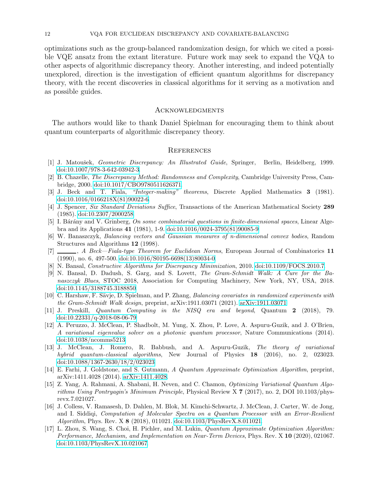optimizations such as the group-balanced randomization design, for which we cited a possible VQE ansatz from the extant literature. Future work may seek to expand the VQA to other aspects of algorithmic discrepancy theory. Another interesting, and indeed potentially unexplored, direction is the investigation of efficient quantum algorithms for discrepancy theory, with the recent discoveries in classical algorithms for it serving as a motivation and as possible guides.

#### **ACKNOWLEDGMENTS**

The authors would like to thank Daniel Spielman for encouraging them to think about quantum counterparts of algorithmic discrepancy theory.

### **REFERENCES**

- [1] J. Matoušek, Geometric Discrepancy: An Illustrated Guide, Springer, Berlin, Heidelberg, 1999. [doi:10.1007/978-3-642-03942-3.](http://dx.doi.org/10.1007/978-3-642-03942-3)
- [2] B. Chazelle, The Discrepancy Method: Randomness and Complexity, Cambridge University Press, Cambridge, 2000. [doi:10.1017/CBO9780511626371.](http://dx.doi.org/10.1017/CBO9780511626371)
- [3] J. Beck and T. Fiala, "Integer-making" theorems, Discrete Applied Mathematics 3 (1981). [doi:10.1016/0166218X\(81\)90022-6.](http://dx.doi.org/10.1016/0166-218X(81)90022-6)
- [4] J. Spencer, Six Standard Deviations Suffice, Transactions of the American Mathematical Society 289 (1985). [doi:10.2307/2000258.](http://dx.doi.org/10.2307/2000258)
- [5] I. Bárány and V. Grinberg, On some combinatorial questions in finite-dimensional spaces, Linear Algebra and its Applications 41 (1981), 1-9. [doi:10.1016/0024-3795\(81\)90085-9.](http://dx.doi.org/10.1016/0024-3795(81)90085-9)
- [6] W. Banaszczyk, Balancing vectors and Gaussian measures of n-dimensional convex bodies, Random Structures and Algorithms 12 (1998).
- [7]  $\Box$ , A Beck—Fiala-type Theorem for Euclidean Norms, European Journal of Combinatorics 11 (1990), no. 6, 497-500. [doi:10.1016/S0195-6698\(13\)80034-0.](http://dx.doi.org/10.1016/S0195-6698(13)80034-0)
- [8] N. Bansal, Constructive Algorithms for Discrepancy Minimization, 2010. [doi:10.1109/FOCS.2010.7.](http://dx.doi.org/10.1109/FOCS.2010.7)
- [9] N. Bansal, D. Dadush, S. Garg, and S. Lovett, The Gram-Schmidt Walk: A Cure for the Banaszczyk Blues, STOC 2018, Association for Computing Machinery, New York, NY, USA, 2018. [doi:10.1145/3188745.3188850.](http://dx.doi.org/10.1145/3188745.3188850)
- [10] C. Harshaw, F. Sävje, D. Spielman, and P. Zhang, Balancing covariates in randomized experiments with the Gram-Schmidt Walk design, preprint, arXiv:1911.03071 (2021). [arXiv:1911.03071.](https://arxiv.org/abs/1911.03071)
- [11] J. Preskill, Quantum Computing in the NISQ era and beyond, Quantum 2 (2018), 79. [doi:10.22331/q-2018-08-06-79.](http://dx.doi.org/10.22331/q-2018-08-06-79)
- [12] A. Peruzzo, J. McClean, P. Shadbolt, M. Yung, X. Zhou, P. Love, A. Aspuru-Guzik, and J. O'Brien, A variational eigenvalue solver on a photonic quantum processor, Nature Communications (2014). [doi:10.1038/ncomms5213.](http://dx.doi.org/10.1038/ncomms5213)
- [13] J. McClean, J. Romero, R. Babbush, and A. Aspuru-Guzik, The theory of variational hybrid quantum-classical algorithms, New Journal of Physics 18 (2016), no. 2, 023023. [doi:10.1088/1367-2630/18/2/023023.](http://dx.doi.org/10.1088/1367-2630/18/2/023023)
- [14] E. Farhi, J. Goldstone, and S. Gutmann, A Quantum Approximate Optimization Algorithm, preprint, arXiv:1411.4028 (2014). [arXiv:1411.4028.](https://arxiv.org/abs/1411.4028)
- [15] Z. Yang, A. Rahmani, A. Shabani, H. Neven, and C. Chamon, Optimizing Variational Quantum Algorithms Using Pontryagin's Minimum Principle, Physical Review X 7 (2017), no. 2, DOI 10.1103/physrevx.7.021027.
- [16] J. Colless, V. Ramasesh, D. Dahlen, M. Blok, M. Kimchi-Schwartz, J. McClean, J. Carter, W. de Jong, and I. Siddiqi, Computation of Molecular Spectra on a Quantum Processor with an Error-Resilient Algorithm, Phys. Rev. X 8 (2018), 011021. [doi:10.1103/PhysRevX.8.011021.](http://dx.doi.org/10.1103/PhysRevX.8.011021)
- [17] L. Zhou, S. Wang, S. Choi, H. Pichler, and M. Lukin, Quantum Approximate Optimization Algorithm: Performance, Mechanism, and Implementation on Near-Term Devices, Phys. Rev. X 10 (2020), 021067. [doi:10.1103/PhysRevX.10.021067.](http://dx.doi.org/10.1103/PhysRevX.10.021067)